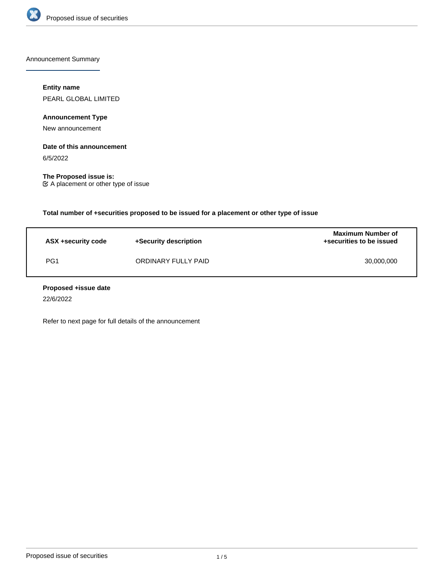

Announcement Summary

## **Entity name**

PEARL GLOBAL LIMITED

**Announcement Type**

New announcement

# **Date of this announcement**

6/5/2022

**The Proposed issue is:** A placement or other type of issue

**Total number of +securities proposed to be issued for a placement or other type of issue**

| ASX +security code | +Security description | <b>Maximum Number of</b><br>+securities to be issued |
|--------------------|-----------------------|------------------------------------------------------|
| PG1                | ORDINARY FULLY PAID   | 30,000,000                                           |

### **Proposed +issue date**

22/6/2022

Refer to next page for full details of the announcement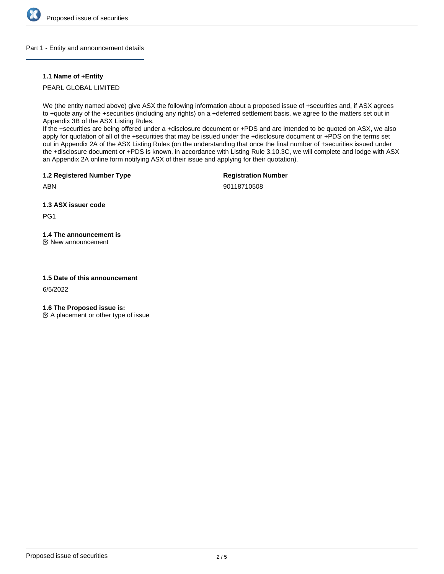

### Part 1 - Entity and announcement details

### **1.1 Name of +Entity**

PEARL GLOBAL LIMITED

We (the entity named above) give ASX the following information about a proposed issue of +securities and, if ASX agrees to +quote any of the +securities (including any rights) on a +deferred settlement basis, we agree to the matters set out in Appendix 3B of the ASX Listing Rules.

If the +securities are being offered under a +disclosure document or +PDS and are intended to be quoted on ASX, we also apply for quotation of all of the +securities that may be issued under the +disclosure document or +PDS on the terms set out in Appendix 2A of the ASX Listing Rules (on the understanding that once the final number of +securities issued under the +disclosure document or +PDS is known, in accordance with Listing Rule 3.10.3C, we will complete and lodge with ASX an Appendix 2A online form notifying ASX of their issue and applying for their quotation).

**1.2 Registered Number Type**

**Registration Number**

ABN

90118710508

**1.3 ASX issuer code**

PG1

**1.4 The announcement is**

New announcement

### **1.5 Date of this announcement**

6/5/2022

**1.6 The Proposed issue is:**

 $\mathfrak{C}$  A placement or other type of issue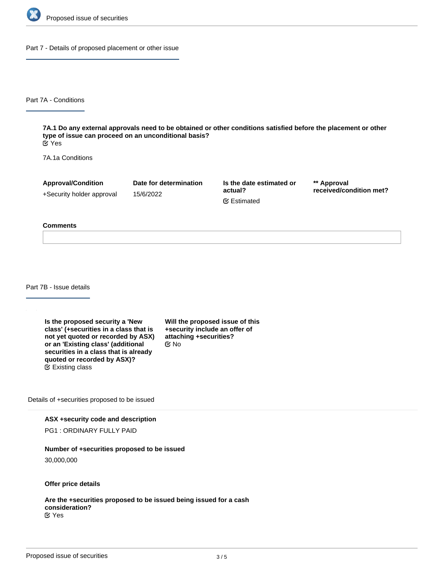

Part 7 - Details of proposed placement or other issue

Part 7A - Conditions

**7A.1 Do any external approvals need to be obtained or other conditions satisfied before the placement or other type of issue can proceed on an unconditional basis?** Yes

7A.1a Conditions

**Approval/Condition** +Security holder approval

15/6/2022

**Date for determination**

**Is the date estimated or actual?** Estimated

**\*\* Approval received/condition met?**

#### **Comments**

Part 7B - Issue details

**Is the proposed security a 'New class' (+securities in a class that is not yet quoted or recorded by ASX) or an 'Existing class' (additional securities in a class that is already quoted or recorded by ASX)?** Existing class

**Will the proposed issue of this +security include an offer of attaching +securities?** No

Details of +securities proposed to be issued

**ASX +security code and description**

PG1 : ORDINARY FULLY PAID

### **Number of +securities proposed to be issued**

30,000,000

**Offer price details**

**Are the +securities proposed to be issued being issued for a cash consideration?** Yes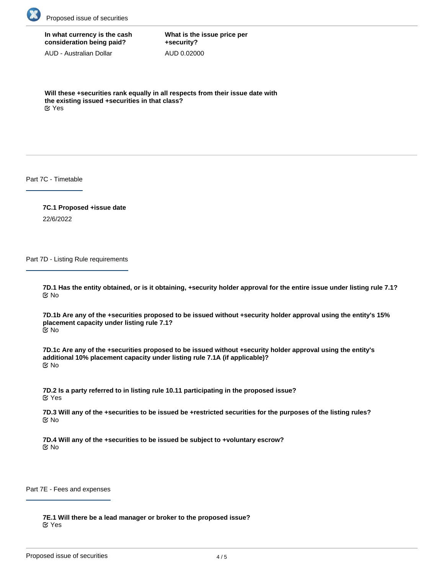

# **In what currency is the cash consideration being paid?**

AUD - Australian Dollar

**What is the issue price per +security?** AUD 0.02000

**Will these +securities rank equally in all respects from their issue date with the existing issued +securities in that class?** Yes

Part 7C - Timetable

**7C.1 Proposed +issue date** 22/6/2022

Part 7D - Listing Rule requirements

**7D.1 Has the entity obtained, or is it obtaining, +security holder approval for the entire issue under listing rule 7.1?** No

**7D.1b Are any of the +securities proposed to be issued without +security holder approval using the entity's 15% placement capacity under listing rule 7.1?** No

**7D.1c Are any of the +securities proposed to be issued without +security holder approval using the entity's additional 10% placement capacity under listing rule 7.1A (if applicable)?** No

**7D.2 Is a party referred to in listing rule 10.11 participating in the proposed issue?** Yes

**7D.3 Will any of the +securities to be issued be +restricted securities for the purposes of the listing rules?** No

**7D.4 Will any of the +securities to be issued be subject to +voluntary escrow?** No

Part 7E - Fees and expenses

**7E.1 Will there be a lead manager or broker to the proposed issue?** Yes